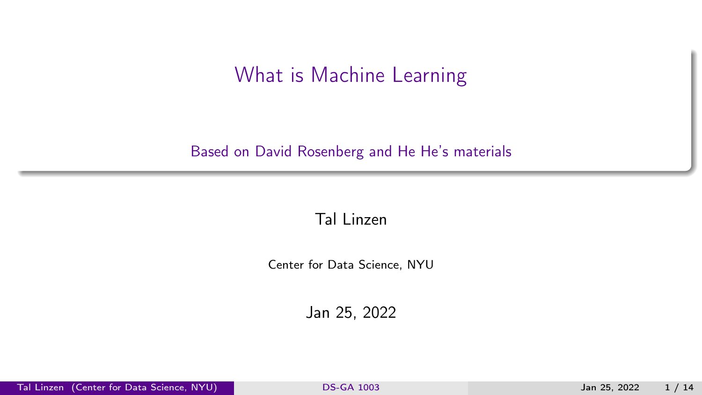## What is Machine Learning

#### <span id="page-0-0"></span>Based on David Rosenberg and He He's materials

#### Tal Linzen

Center for Data Science, NYU

Jan 25, 2022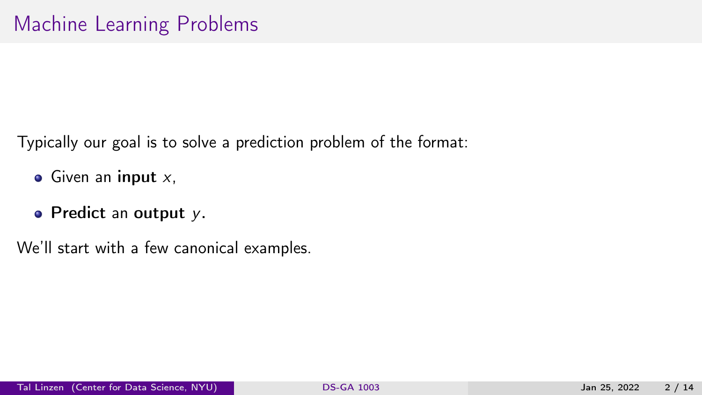Typically our goal is to solve a prediction problem of the format:

- $\bullet$  Given an input  $x$ ,
- Predict an output  $y$ .

We'll start with a few canonical examples.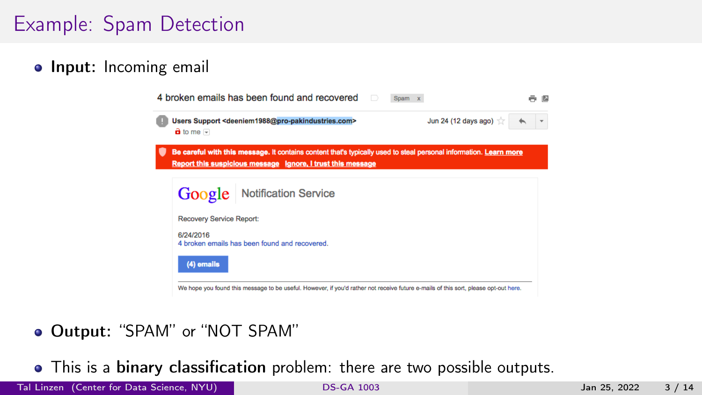# Example: Spam Detection

**• Input:** Incoming email



#### Output: "SPAM" or "NOT SPAM"

• This is a binary classification problem: there are two possible outputs.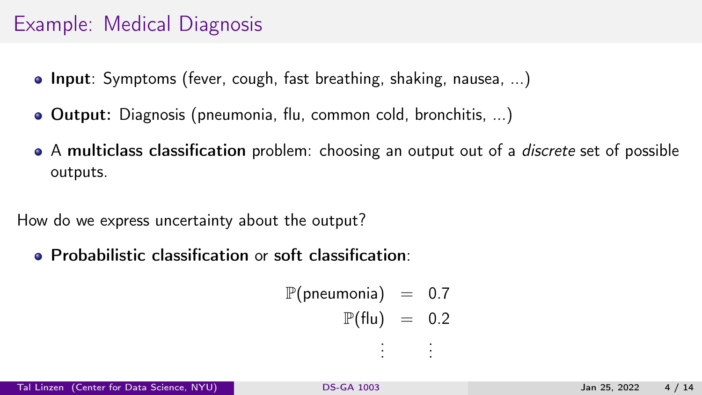## Example: Medical Diagnosis

- **Input**: Symptoms (fever, cough, fast breathing, shaking, nausea, ...)
- Output: Diagnosis (pneumonia, flu, common cold, bronchitis, ...)
- A multiclass classification problem: choosing an output out of a *discrete* set of possible outputs.

How do we express uncertainty about the output?

Probabilistic classification or soft classification:

 $\mathbb{P}(\text{preumonia}) = 0.7$  $\mathbb{P}(\text{flu}) = 0.2$ . . . . . .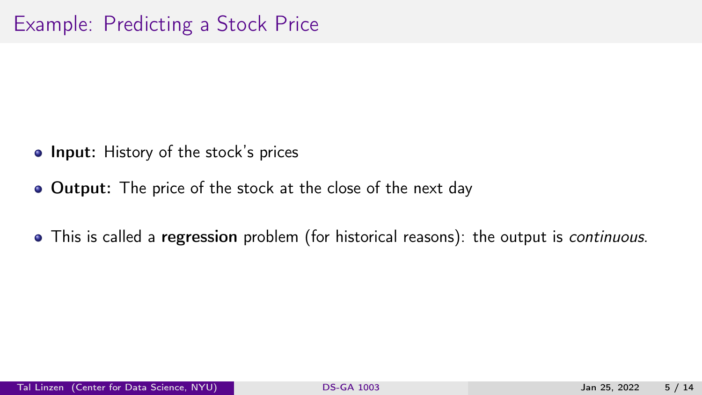- Input: History of the stock's prices
- Output: The price of the stock at the close of the next day
- This is called a regression problem (for historical reasons): the output is *continuous*.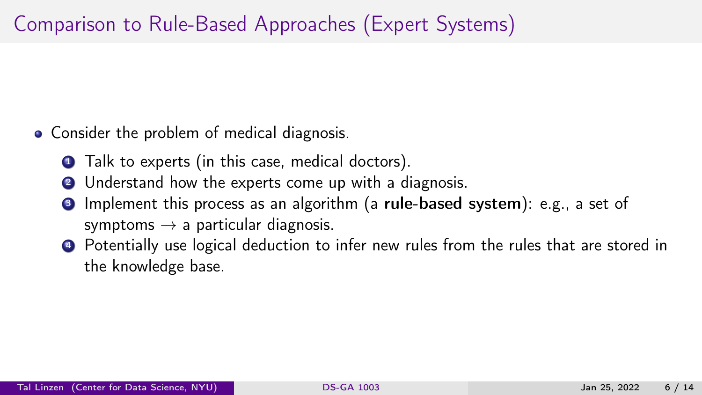# Comparison to Rule-Based Approaches (Expert Systems)

- Consider the problem of medical diagnosis.
	- **1** Talk to experts (in this case, medical doctors).
	- 2 Understand how the experts come up with a diagnosis.
	- <sup>3</sup> Implement this process as an algorithm (a rule-based system): e.g., a set of symptoms  $\rightarrow$  a particular diagnosis.
	- <sup>4</sup> Potentially use logical deduction to infer new rules from the rules that are stored in the knowledge base.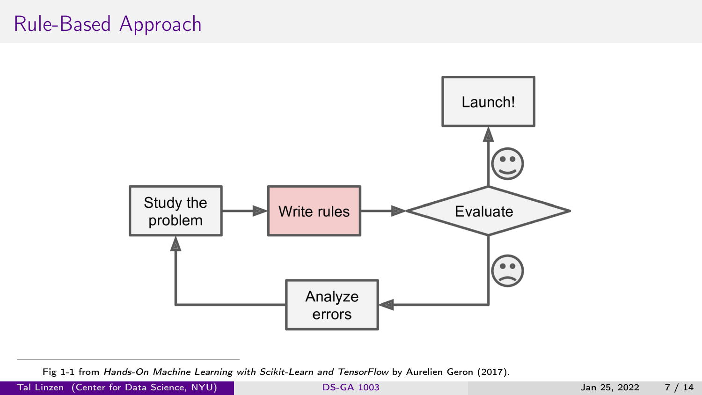## Rule-Based Approach



Fig 1-1 from Hands-On Machine Learning with Scikit-Learn and TensorFlow by Aurelien Geron (2017).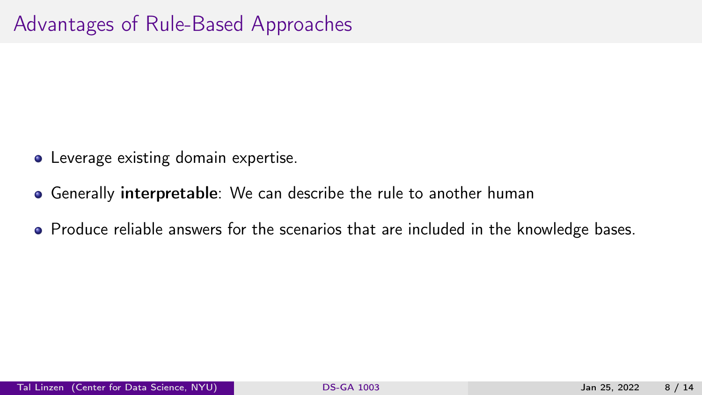- Leverage existing domain expertise.
- Generally interpretable: We can describe the rule to another human
- Produce reliable answers for the scenarios that are included in the knowledge bases.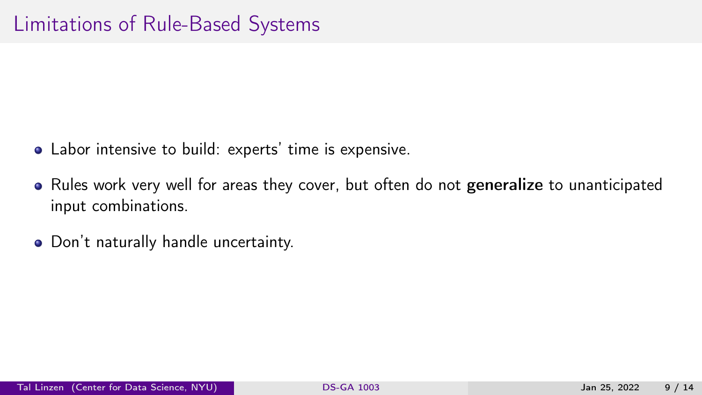- Labor intensive to build: experts' time is expensive.
- Rules work very well for areas they cover, but often do not generalize to unanticipated input combinations.
- Don't naturally handle uncertainty.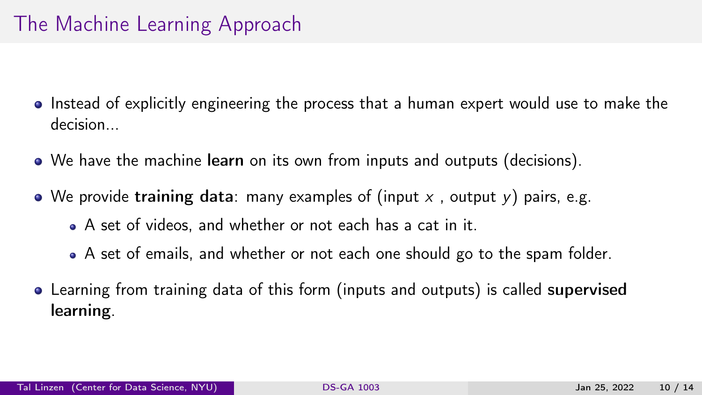# The Machine Learning Approach

- Instead of explicitly engineering the process that a human expert would use to make the decision...
- We have the machine learn on its own from inputs and outputs (decisions).
- We provide training data: many examples of (input x, output y) pairs, e.g.
	- A set of videos, and whether or not each has a cat in it.
	- A set of emails, and whether or not each one should go to the spam folder.
- Learning from training data of this form (inputs and outputs) is called supervised learning.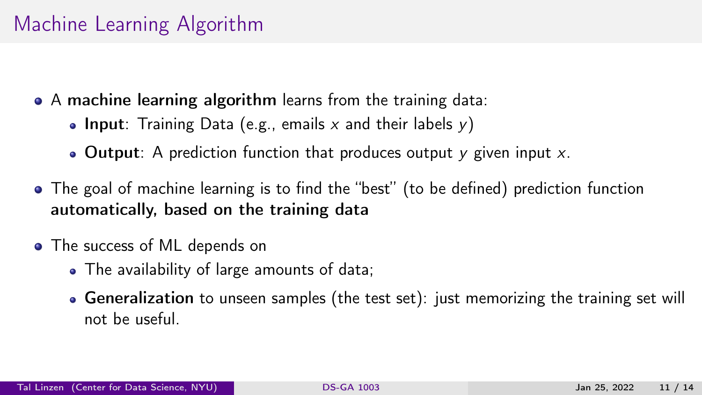## Machine Learning Algorithm

A machine learning algorithm learns from the training data:

- Input: Training Data (e.g., emails x and their labels  $y$ )
- Output: A prediction function that produces output  $\gamma$  given input  $\chi$ .
- The goal of machine learning is to find the "best" (to be defined) prediction function automatically, based on the training data
- The success of ML depends on
	- The availability of large amounts of data;
	- Generalization to unseen samples (the test set): just memorizing the training set will not be useful.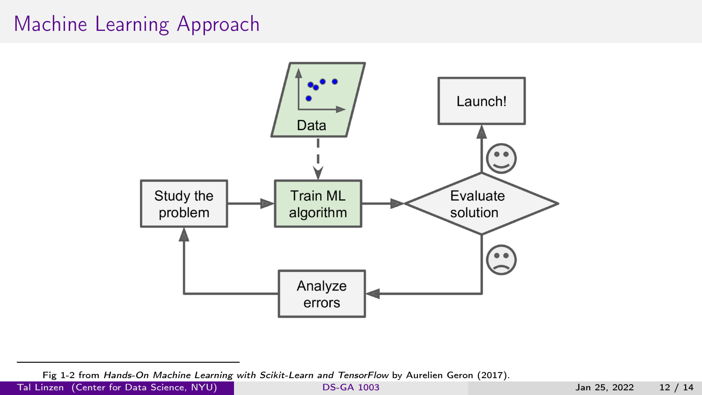## Machine Learning Approach



Tal Linzen (Center for Data Science, NYU) [DS-GA 1003](#page-0-0) DS-GA 1003 Jan 25, 2022 12 / 14

Fig 1-2 from Hands-On Machine Learning with Scikit-Learn and TensorFlow by Aurelien Geron (2017).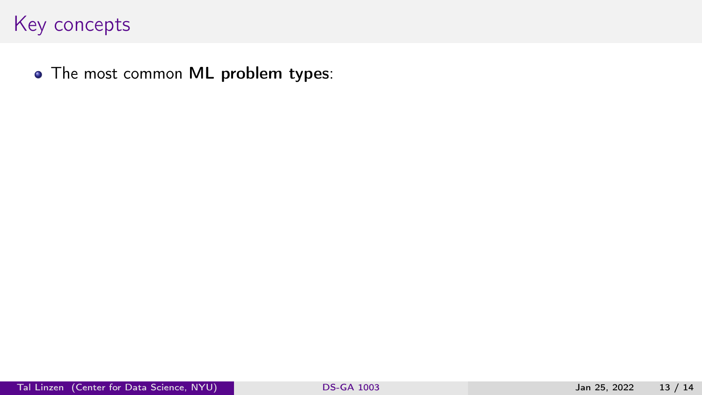• The most common ML problem types: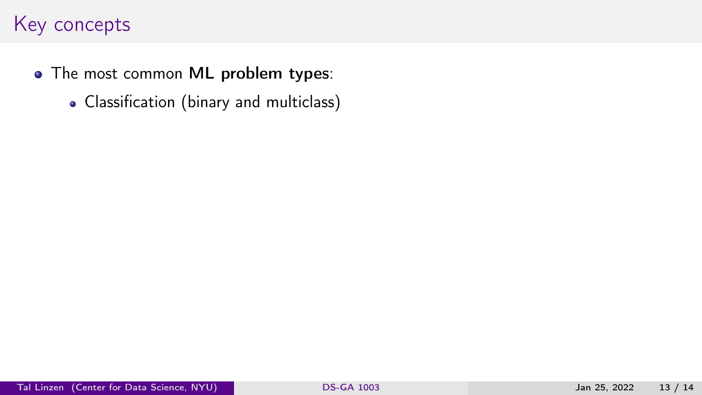- The most common ML problem types:
	- Classification (binary and multiclass)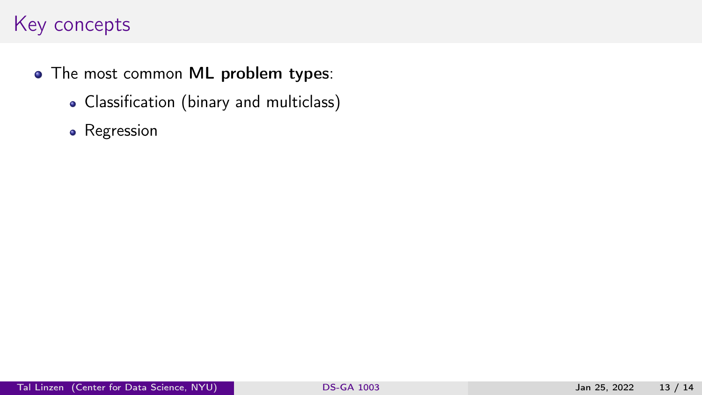- The most common ML problem types:
	- Classification (binary and multiclass)
	- Regression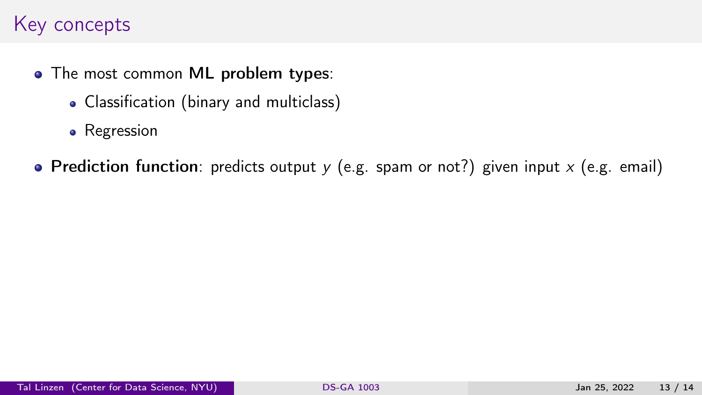- The most common ML problem types:
	- Classification (binary and multiclass)
	- Regression
- Prediction function: predicts output  $y$  (e.g. spam or not?) given input  $x$  (e.g. email)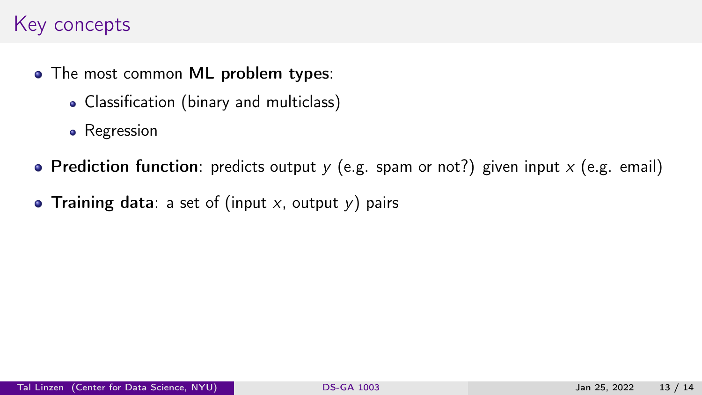- The most common ML problem types:
	- Classification (binary and multiclass)
	- Regression
- Prediction function: predicts output  $y$  (e.g. spam or not?) given input  $x$  (e.g. email)
- Training data: a set of (input  $x$ , output  $y$ ) pairs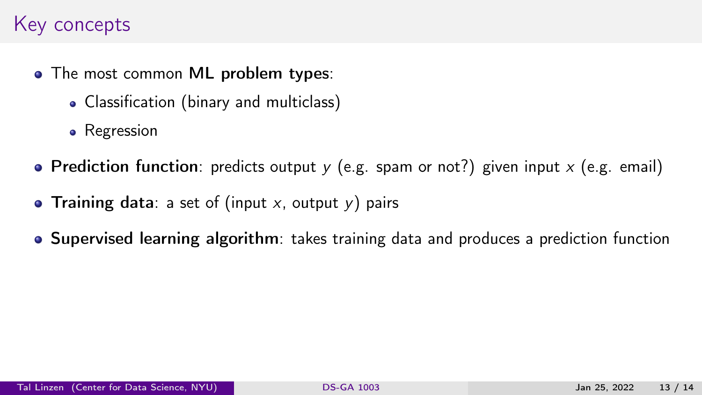- The most common ML problem types:
	- Classification (binary and multiclass)
	- Regression
- Prediction function: predicts output  $y$  (e.g. spam or not?) given input  $x$  (e.g. email)
- Training data: a set of (input x, output  $y$ ) pairs
- Supervised learning algorithm: takes training data and produces a prediction function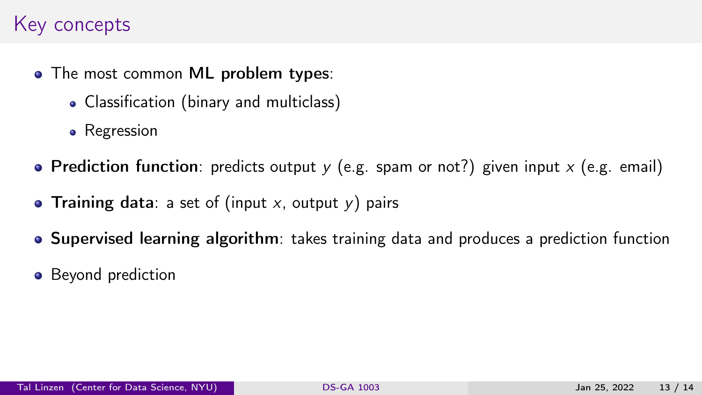- The most common ML problem types:
	- Classification (binary and multiclass)
	- Regression
- Prediction function: predicts output  $y$  (e.g. spam or not?) given input  $x$  (e.g. email)
- Training data: a set of (input x, output  $y$ ) pairs
- Supervised learning algorithm: takes training data and produces a prediction function
- Beyond prediction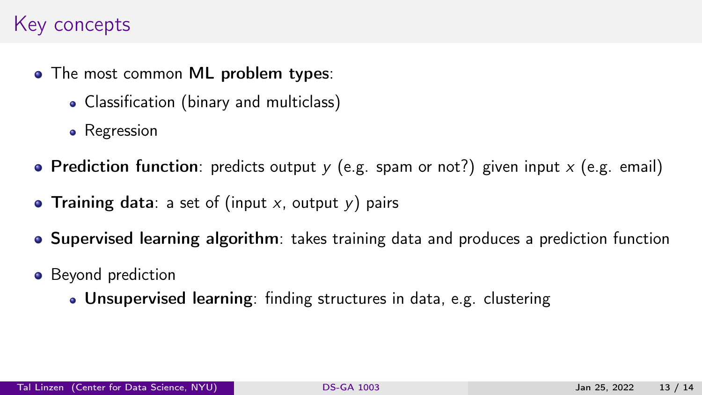- The most common ML problem types:
	- Classification (binary and multiclass)
	- Regression
- Prediction function: predicts output  $y$  (e.g. spam or not?) given input  $x$  (e.g. email)
- Training data: a set of (input x, output y) pairs
- Supervised learning algorithm: takes training data and produces a prediction function
- Beyond prediction
	- Unsupervised learning: finding structures in data, e.g. clustering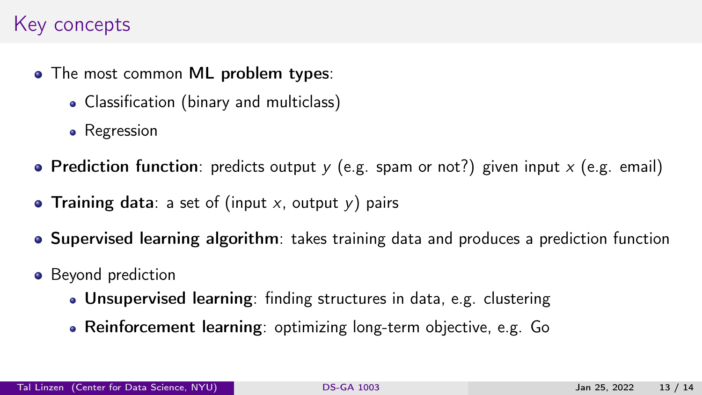- The most common ML problem types:
	- Classification (binary and multiclass)
	- Regression
- Prediction function: predicts output  $y$  (e.g. spam or not?) given input  $x$  (e.g. email)
- Training data: a set of (input  $x$ , output  $y$ ) pairs
- Supervised learning algorithm: takes training data and produces a prediction function
- Beyond prediction
	- Unsupervised learning: finding structures in data, e.g. clustering
	- Reinforcement learning: optimizing long-term objective, e.g. Go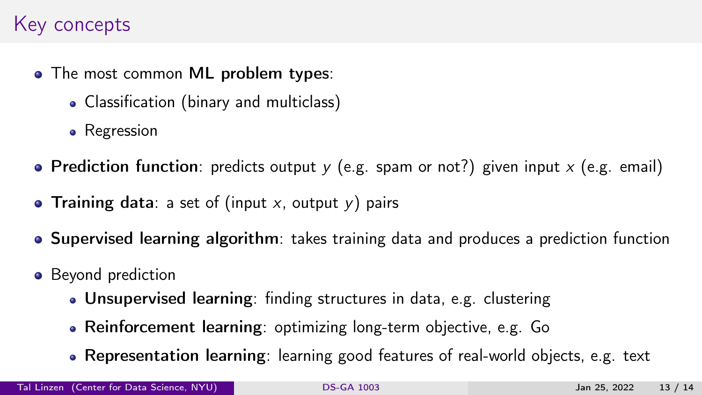- The most common ML problem types:
	- Classification (binary and multiclass)
	- Regression
- Prediction function: predicts output  $y$  (e.g. spam or not?) given input  $x$  (e.g. email)
- Training data: a set of (input  $x$ , output  $y$ ) pairs
- Supervised learning algorithm: takes training data and produces a prediction function
- Beyond prediction
	- Unsupervised learning: finding structures in data, e.g. clustering
	- Reinforcement learning: optimizing long-term objective, e.g. Go
	- Representation learning: learning good features of real-world objects, e.g. text